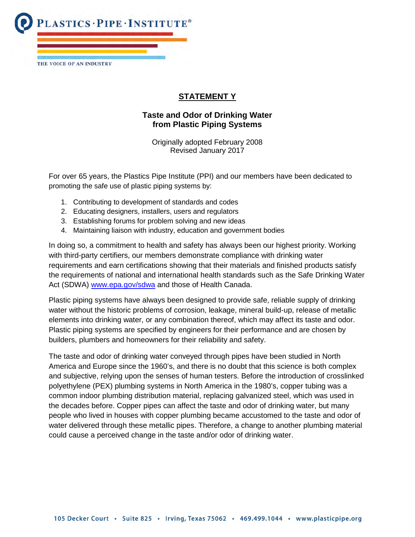**LASTICS . PIPE . INSTITUTE®** THE VOICE OF AN INDUSTRY

## **STATEMENT Y**

## **Taste and Odor of Drinking Water from Plastic Piping Systems**

Originally adopted February 2008 Revised January 2017

For over 65 years, the Plastics Pipe Institute (PPI) and our members have been dedicated to promoting the safe use of plastic piping systems by:

- 1. Contributing to development of standards and codes
- 2. Educating designers, installers, users and regulators
- 3. Establishing forums for problem solving and new ideas
- 4. Maintaining liaison with industry, education and government bodies

In doing so, a commitment to health and safety has always been our highest priority. Working with third-party certifiers, our members demonstrate compliance with drinking water requirements and earn certifications showing that their materials and finished products satisfy the requirements of national and international health standards such as the Safe Drinking Water Act (SDWA) [www.epa.gov/sdwa](http://www.epa.gov/sdwa) and those of Health Canada.

Plastic piping systems have always been designed to provide safe, reliable supply of drinking water without the historic problems of corrosion, leakage, mineral build-up, release of metallic elements into drinking water, or any combination thereof, which may affect its taste and odor. Plastic piping systems are specified by engineers for their performance and are chosen by builders, plumbers and homeowners for their reliability and safety.

The taste and odor of drinking water conveyed through pipes have been studied in North America and Europe since the 1960's, and there is no doubt that this science is both complex and subjective, relying upon the senses of human testers. Before the introduction of crosslinked polyethylene (PEX) plumbing systems in North America in the 1980's, copper tubing was a common indoor plumbing distribution material, replacing galvanized steel, which was used in the decades before. Copper pipes can affect the taste and odor of drinking water, but many people who lived in houses with copper plumbing became accustomed to the taste and odor of water delivered through these metallic pipes. Therefore, a change to another plumbing material could cause a perceived change in the taste and/or odor of drinking water.